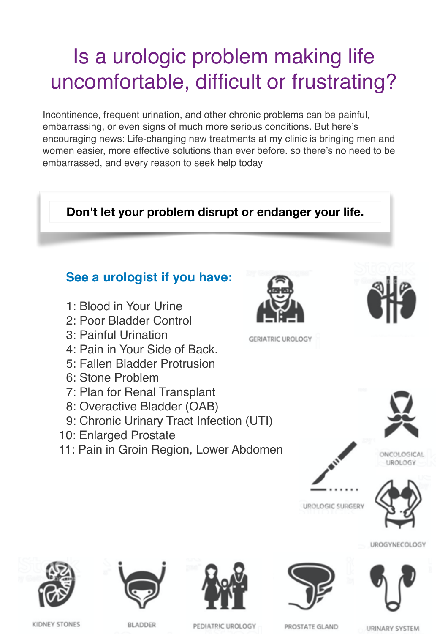## Is a urologic problem making life uncomfortable, difficult or frustrating?

Incontinence, frequent urination, and other chronic problems can be painful, embarrassing, or even signs of much more serious conditions. But here's encouraging news: Life-changing new treatments at my clinic is bringing men and women easier, more effective solutions than ever before. so there's no need to be embarrassed, and every reason to seek help today









PEDIATRIC UROLOGY



PROSTATE GLAND

URINARY SYSTEM